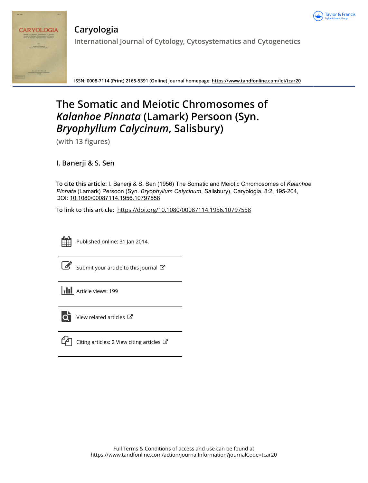



**Caryologia International Journal of Cytology, Cytosystematics and Cytogenetics**

**ISSN: 0008-7114 (Print) 2165-5391 (Online) Journal homepage:<https://www.tandfonline.com/loi/tcar20>**

# **The Somatic and Meiotic Chromosomes of** *Kalanhoe Pinnata* **(Lamark) Persoon (Syn.** *Bryophyllum Calycinum***, Salisbury)**

**(with 13 figures)**

**I. Banerji & S. Sen**

**To cite this article:** I. Banerji & S. Sen (1956) The Somatic and Meiotic Chromosomes of *Kalanhoe Pinnata* (Lamark) Persoon (Syn. *BryophyllumCalycinum*, Salisbury), Caryologia, 8:2, 195-204, DOI: [10.1080/00087114.1956.10797558](https://www.tandfonline.com/action/showCitFormats?doi=10.1080/00087114.1956.10797558)

**To link to this article:** <https://doi.org/10.1080/00087114.1956.10797558>



Published online: 31 Jan 2014.

|--|

[Submit your article to this journal](https://www.tandfonline.com/action/authorSubmission?journalCode=tcar20&show=instructions)  $\mathbb{Z}$ 





View related articles



 $\Box$  [Citing articles: 2 View citing articles](https://www.tandfonline.com/doi/citedby/10.1080/00087114.1956.10797558#tabModule)  $\Box$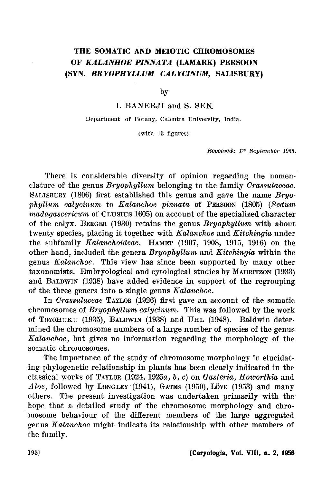# THE SOMATIC AND MEIOTIC CHROMOSOMES O:F *KALANHOE PINNATA* (LAMARK) PERSOON (SYN. *BRYOPHYLLUM CALYCINUM,* SALISBURY)

by

I. BANERJI and S. SEN.

Department of Botany, Calcutta University, India.

(with 13 figures)

Received!; *Jst* September 1955.

There is considerable diversity of opinion regarding the nomenclature of the genus *Bryophyllum* belonging to the family *Orassulaceae.*  SALISBURY (1806) first established this genus and gave the name *Bryophyllum calyc-inum* to *Kalanchoe pirvnata* of PERSOON (1805) *(Sedum madagascericum* of CLUSIUS 1605) on account of the specialized character of the calyx. BERGER (1930) retains the genus *Bryophyllum* with about twenty species, placing it together with *Kalanchoe* and *Kitchingia* under the subfamily *Kalanchoideae.* HAMET (1907, 1908, 1915, 1916) on the other hand, included the genera *Bryophyllum* and *Kitchingia* within the genus *Kalanchoe*. This view has since been supported by many other taxonomists. Embryological and cytological studies by MAURITZON (1933) and BALDWIN (1938) have added evidence in support of the regrouping of the three genera into a single genus *Kalanchoe.* 

In *Orassulaceae* TAYLOR (1926) first gave an account of the somatic chromosomes of *Bryophyllum calycinum.* This was followed by the work of TOYOHUKU (1935), BALDWIN (1938) and UHL (1948). Baldwin determined the chromosome numbers of a large number of species of the genus *Kalanchoe*, but gives no information regarding the morphology of the somatic chromosomes.

The importance of the study of chromosome morphology in elucidating phylogenetic relationship in plants has been clearly indicated in the classical works of TAYLOR (1924, 1925a~ b~ c) on Gasteria~ *Howorthia* and  $A\,$ loe, followed by LongLEY (1941), GATES (1950), LÖVE (1953) and many others. The present investigation was undertaken primarily with the hope that a detailed study of the chromosome morphology and chromosome behaviour of the different members of the large aggregated genus *Kalanchoe* might indicate its relationship with other members of the family.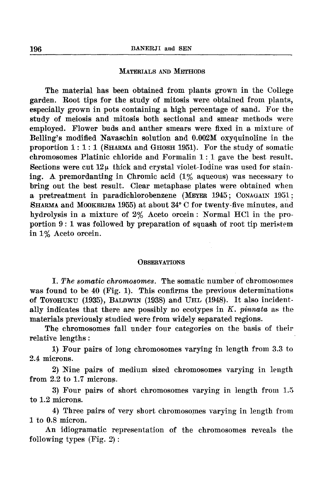# MATERIALS AND METHODS

The material has been obtained from plants grown in the College garden. Root tips for the study of mitosis were obtained from plants, especially grown in pots containing a high percentage of sand. For the study of meiosis and mitosis both sectional and smear methods were employed. Flower buds and anther smears were fixed in a mixture of Belling's modified Navaschin solution and 0.002M oxyquinoline in the proportion 1: 1: 1 (SHARMA and GHOSH 1951). For the study of somatic chromosomes Platinic chloride and Formalin 1:.1 gave the best result. Sections were cut  $12\mu$  thick and crystal violet-Iodine was used for staining. A. premordanting in Chromic acid (1% aqueous) was necessary to bring out the best result. Clear metaphase plates were obtained when a pretreatment in paradichlorobenzene (MEYER 1945; CoNAGAIN 1951; SHARMA and MooKERJEA 1955) at about 34° C for twenty-five minutes, and hydrolysis in a mixture of 2% Aceto orcein: Normal HCl in the proportion  $9:1$  was followed by preparation of squash of root tip meristem in 1% Aceto orcein.

## **OBSERVATIONS**

I. *The somatic cht·omosomes.* The somatic number of chromosomes was found to be  $40$  (Fig. 1). This confirms the previous determinations of TOYOHUKU (1935), BALDWIN (1938) and UHL (1948). It also incidentally indicates that there are possibly no ecotypes in *K. pinnata* as the materials previously studied were from widely separated regions.

The chromosomes fall under four categories on the basis of their relative lengths :

1) Four pairs of long chromosomes varying in length from 3.3 to 2.4 microns.

2) Nine pairs of medium sized chromosomes varying in length from 2.2 to 1.7 microns.

3) Four pairs of short chromosomes varying in length from 1.5 to 1.2 microns.

4) Three pairs of very short chromosomes varying in length from 1 to 0.8 micron.

An idiogramatic representation of the chromosomes reveals the following types (Fig. 2) :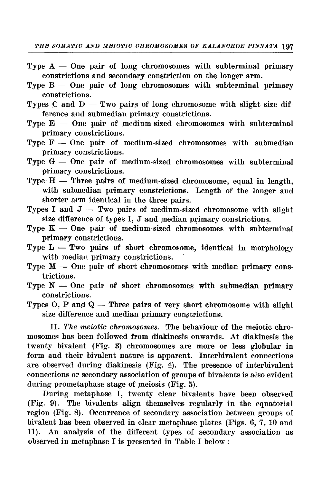- Type  $A -$ One pair of long chromosomes with subterminal primary constrictions and secondary constriction on the longer arm.
- Type  $B -$ One pair of long chromosomes with subterminal primary constrictions.
- Types C and  $D Tw$  pairs of long chromosome with slight size difference and submedian primary constrictions.
- Type  $E -$  One pair of medium-sized chromosomes with subterminal primary constrictions.
- Type  $F -$  One pair of medium-sized chromosomes with submedian primary constrictions.
- Type  $G$  One pair of medium-sized chromosomes with subterminal primary constrictions.
- Type  $H$  Three pairs of medium-sized chromosome, equal in length, with submedian primary constrictions. Length of the longer and shorter arm identical in the three pairs.
- Types I and  $J Two pairs of medium-sized chromosome with slight$ size difference of types  $I, J$  and median primary constrictions.
- Type  $K -$  One pair of medium-sized chromosomes with subterminal primary constrictions.
- Type  $L Two$  pairs of short chromosome, identical in morphology with median primary constrictions.
- Type  $M$  One pair of short chromosomes with median primary constrictions.
- Type  $N-$  One pair of short chromosomes with submedian primary constrictions.

Types  $O, P$  and  $Q$  — Three pairs of very short chromosome with slight size difference and median primary constrictions.

II. *The meiotic chromosomes.* The behaviour of the meiotic chromosomes has been foliowed from diakinesis onwards. At diakinesis the twenty bivalent (Fig. 3) chromosomes are more or less globular in form and their bivalent nature is apparent. Interbivalent connections are observed during diakinesis (Fig. 4). The presence of interbivalent connections or secondary association of groups of bivalents is also evident during prometaphase stage of meiosis (Fig. 5).

During metaphase I, twenty clear bivalents have been observed (Fig. 9). The bivalents align themselves regularly in the equatorial region (Fig. 8). Occurrence of secondary association between groups of bivalent has been observed in clear metaphase plates (Figs. 6, 7, 10 and 11). An analysis of the different types of secondary association as observed in metaphase I is presented in Table I below: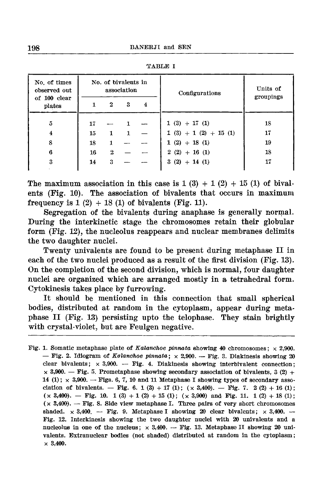| No. of times<br>observed out<br>of 100 clear<br>plates | No. of bivalents in<br>association |   |   |   | Configurations        | Units of  |
|--------------------------------------------------------|------------------------------------|---|---|---|-----------------------|-----------|
|                                                        |                                    | 2 | 3 | 4 |                       | groupings |
| ŏ                                                      | 17                                 |   |   |   | $1(3) + 17(1)$        | 18        |
| $\overline{\mathbf{4}}$                                | 15                                 | 1 | 1 |   | $1(3) + 1(2) + 15(1)$ | 17        |
| 8                                                      | 18                                 |   |   |   | $1(2) + 18(1)$        | 19        |
| 6                                                      | 16                                 | 2 |   |   | $2(2) + 16(1)$        | 18        |
| 3                                                      | 14                                 | 3 |   |   | $3(2) + 14(1)$        | 17        |
|                                                        |                                    |   |   |   |                       |           |

TABLE I

The maximum association in this case is  $1(3) + 1(2) + 15(1)$  of bivalents (Fig. 10). The association of bivalents that occurs in maximum frequency is  $1(2) + 18(1)$  of bivalents (Fig. 11).

Segregation of the bivalents during anaphase is generally normal. During the interkinetic stage the chromosomes retain their globular form (Fig. 12), the nucleolus reappears and nuclear membranes delimits the two daughter nuclei.

Twenty univalents are found to be present during metaphase II in each of the two nuclei produced as a result of the first division (Fig. 13). On the completion of the second division, which is normal, four daughter nuclei are organized which are arranged mostly in a tetrahedral form. Cytokinesis takes place by furrowing.

It should be mentioned in this connection that small spherical bodies, distributed at random in the cytoplasm, appear during metaphase II (Fig. 13) persisting upto the telophase. They stain brightly with crystal-violet, but are Feulgen negative.

Fig. 1. Somatic metaphase plate of Kalanchoe pinnata showing 40 chromosomes;  $\times$  2,900. - Fig. 2. Idiogram of Kalanchoe pinnata;  $\times$  2,900. - Fig. 3. Diakinesis showing 20 clear bivalents;  $\times$  3,900. -- Fig. 4. Diakinesis showing interbivalent connection;  $\times$  3,900. - Fig. 5. Prometaphase showing secondary association of bivalents, 3 (2) + 14 (1);  $\times$  3,900. - Figs. 6, 7, 10 and 11 Metaphase I showing types of secondary association of bivalents. - Fig. 6. 1 (3) + 17 (1);  $(x 3,400)$ . - Fig. 7. 2 (2) + 16 (1);  $(x, 3,400)$ . - Fig. 10. 1 (3) + 1 (2) + 15 (1);  $(x, 3,900)$  and Fig. 11. 1 (2) + 18 (1);  $(x 3,400)$ . - Fig. 8. Side view metaphase I. Three pairs of very short chromosomes shaded.  $\times$  3,400. -- Fig. 9. Metaphase I showing 20 clear bivalents;  $\times$  3,400. --Fig. 12. Interkinesis showing the two daughter nuclei with 20 univalents and a nucleolus in one of the nucleus;  $\times$  3,400. -- Fig. 13. Metaphase II showing 20 univalents. Extranuclear bodies (not shaded) distributed at random in the cytoplasm;  $\times$  3,400.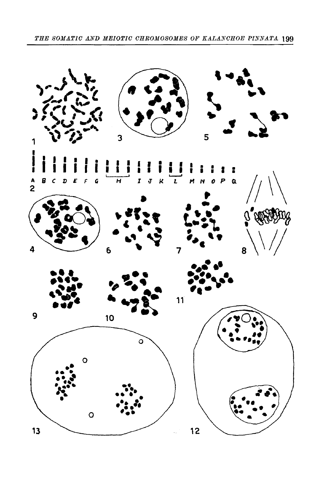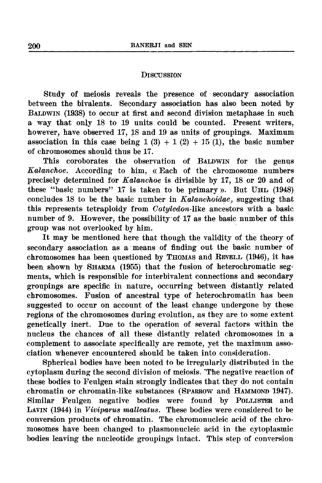# **DISCUSSION**

Study of meiosis reveals the presence of secondary association between the bivalents. Secondary association has also been noted by BALDWIN (1938) to occur at first and second division metaphase in such a way that only 18 to 19 units could be counted. Present writers, however, have observed 17, 18 and 19 as units of groupings. Maximum association in this case being  $1(3) + 1(2) + 15(1)$ , the basic number of chromosomes should thus be 17.

This coroborates the observation of BALDWIN for the genus *Kalanchoe.* According to him, «Each of the chromosome numbers precisely determined for *Kalanchoe* is divisible by 17, 18 or 20 and of these "basic numbers" 17 is taken to be primary ». But UHL (1948) concludes 18 to be the basic number in *Kalanchoidae*, suggesting that this represents tetraploidy from *Cotyledon-like* ancestors with a basic number of 9. However, the possibility of 17 as the basic number of this group was not overlooked by him.

It may be mentioned here that though the validity of the theory of secondary association as a means of finding out the basic number of chromosomes has been questioned by THOMAS and REVELL (1946), it has been shown by SHARMA (1955) that the fusion of heterochromatic segments, which is responsible for interbivalent connections and secondary groupings are specific in nature, occurring between distantly related chromosomes. Fusion of ancestral type of heterochromatin has been suggested to occur on account of the least change undergone by these regions of the chromosomes during evolution, as they are to some extent genetically inert. Due to the operation of several factors within the nucleus the chances of all these distantly related chromosomes in a complement to associate specifically are remote, yet the maximum association whenever encountered should be taken into consideration.

Spherical bodies have been noted to be irregularly distributed in the cytoplasm during the second division of meiosis. 'The negative reaction of these bodies to Feulgen stain strongly indicates that they do not contain chromatin or chromatin-like substances (SPARROW and HAMMOND 1947). Similar Feulgen negative bodies were found by POLLISTER and LAVIN (1944) in *Viviparus malleatus*. These bodies were considered to be conversion products of chromatin. The chromonucleic acid of the chromosomes have been changed to plasmonucleic acid in the cytoplasmic bodies leaving the nucleotide groupings intact. This step of conversion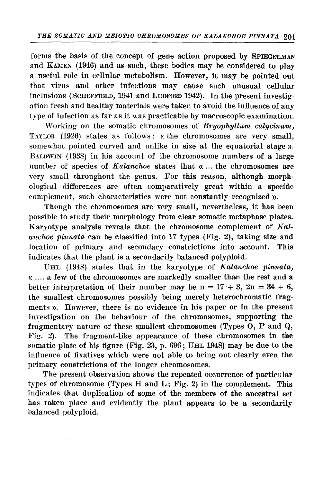forms the basis of the concept of gene action proposed by SPIEGELMAN and KAMEN (1946) and as such, these bodies may be considered to play a useful role in cellular metabolism. However, it may be pointed out that virus and other infections may cause such unusual cellular inclusions (SCHEFFIELD, 1941 and LUDFORD 1942). In the present investigation fresh and healthy materials were taken to avoid the influence of any type of infection as far as it was practicable by macroscopic examination.

Working on the somatic chromosomes of *Bryophyllum calycinum*, TAYLOR (1926) states as follows: «the chromosomes are very small, somewhat pointed curved and unlike in size at the equatorial stage). BALDWIN (1938) in his account of the chromosome numbers of a large number of species of *Kalanchoe* states that  $\alpha$ ... the chromosomes are very small throughout the genus. For this reason, although morphological differences are often comparatively great within a specific complement, such characteristics were not constantly recognized).

Though the chromosomes are very small, nevertheless, it has been possible to study their morphology from clear somatic metaphase plates. Karyotype analysis reveals that the chromosome complement of *Kal*anchoe pinnata can be classified into 17 types (Fig. 2), taking size and location of primary and secondary constrictions into account. This indicates that the plant is a secondarily balanced polyploid.

UHL (1948) states that in the karyotype of *Kalanchoe pinnata*, « .... a few of the chromosomes are markedly smaller than the rest and a better interpretation of their number may be n =  $17 + 3$ ,  $2n = 34 + 6$ , the smallest chromosomes possibly being merely heterochromatic fragments)). However, there is no evidence in his paper or in the present investigation on the behaviour of the chromosomes, supporting the fragmentary nature of these smallest chromosomes (Types  $O$ , P and  $Q$ , Pig. 2). The fragment-like appearance of these chromosomes in the somatic plate of his figure (Fig.  $23$ , p.  $696$ ; UHL 1948) may be due to the influence of. fixatives which were not able to bring out clearly even the primary constrictions of the longer chromosomes.

The present observation shows the repeated occurrence of particular types of chromosome (Types H and L; Fig. 2) in the complement. This indicates that duplication of some of the members of the ancestral set has taken place and evidently the plant appears to be a secondarily balanced polyploid.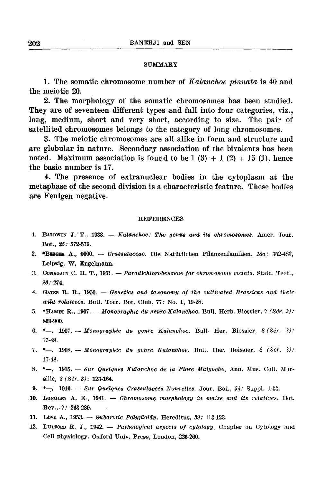### SUMMARY

1. The somatic chromosome number of *Kalanchoe pinnata* is 40 and the meiotic 20.

2. The morphology of the somatic chromosomes has been studied. They are of seventeen different types and fall into four categories, viz., long, medium, short and very short, according to size. The pair of satellited chromosomes belongs to the category of long ehromosomes.

3. The meiotic chromosomes are all alike in form and structure and are globular in nature. Secondary association of the bivalents has been noted. Maximum association is found to be  $1(3) + 1(2) + 15(1)$ , hence the basic number is 17.

4. The presence of extranuclear bodies in the cytoplasm at the metaphase of the second division is a characteristic feature. These bodies are Feulgen negative.

#### REFERENCES

- 1. BALDWIN J. T., 1938.  $-$  Kalanchoe: The genus and its chromosomes. Amer. Jour. Bot., *25:* 572·579.
- 2. \*BERGER A.,  $0000. -$  Crassulaceae. Die Natürlichen Pflanzenfamilien. 18a: 352-483, Leipzig. W. Engelmann.
- 3. Conagain C. H. T., 1951. Paradichlorobenzene for chromosome counts. Stain. Tech., 26: 274.
- 4. GATES R. R., 1950.  $-$  Genetics and taxonomy of the cultivated Brassicas and their wild relatives. Bull. Torr. Bot. Club,  $77:$  No. I, 19-28.
- 5. \*HAMET R., 1907. Monographic du genre Kalanchoe. Bull. Herb. Biossier,  $7$  (Sér. 2): 869-900.
- 6. \*-, 1907. Monographie du genre Kalanchoe. Bull. Her. Biossier, 8 (Sér. 2): 17-48.
- 7.  $*$ , 1908. Monographie du genre Kalanchoe. Bull. Her. Boissier, 8 (Sér. *2*): 17-48.
- 8.  $*-$ , 1915. Sur Quelques Kalanchoe de la Flore Malgoche. Ann. Mus. Coll. Marsille, 3 (Ser. 3): 123-164.
- 9.  $*$ , 1916. Sur Quelques Crassulacees Nonvelles. Jour. Bot., 54: Suppl. 1-33.
- 10. Longley A. E.,  $1941. Chromosome morphology in maize and its relatives.$  Bot. Rev., *7:* 263-289.
- 11. Löve A., 1953. Subarctic Polyploidy. Hereditus,  $39: 113-123$ .
- 12. LUDFORD R. J., 1942. Pathological aspects of cytology. Chapter on Cytology and Cell physiology. Oxford Univ. Press, London, 226-260.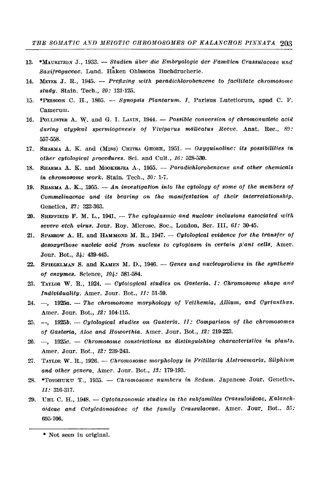- 13. \*MAURITZON J., 1933. Studien über die Embryologie der Familien Crassulaceae und Saxifragaceae. Lund. Haken Ohlssons Buchdrucherie.
- 14. MEYER J. R., 1945.  $-$  Prefixing with paradichlorobenzene to facilitate chromosome study. Stain. Tech., 20: 121-125.
- 15. \*PERSOON C. H., 1805. Synopsis Plantarum. I. Parisus Lutetiorum, apud C. F. Camerum.
- 16. POLLISTER A. W. and G. I. LAVIN, 1944. Possible conversion of chromonucleic acid during atypical spermiogenesis of Viviparus malleatus Reeve. Anat. Rec., 89: 557-558.
- 17. SHARMA A. K. and (MISS) CHITRA GHOSH, 1951. Oxyquinoline: its possibilities in other cytological procedures. Sci. and Cult., 16: 528-530.
- 18. SHARMA A. K. and MOOKERJEA A., 1955. Paradichlorobenzene and other chemicals in chromosome work. Stain. Tech., 30: 1-7.
- 19. SHARMA A. K., 1955.  $-$  An investigation into the cytology of some of the members of Commelinaceae and its bearing on the manifestation of their interrelationship. Genetica, 27: 323-363.
- 20. SHEFFIELD F. M. L., 1941. The cytoplasmic and nuclear inclusions associated with severe etch virus. Jour. Roy. Microsc. Soc., London, Ser. III, 61: 30-45.
- 21. SPARROW A. H. and HAMMOND M. R., 1947. Cytological evidence for the transfer of desoxyribose nucleic acid from nucleus to cytoplasm in certain plant cells. Amer. Jour. Bot., 34: 439-445.
- 22. SPIEGELMAN S. and KAMEN M. D., 1946. Genes and nucleoproliens in the synthesis of enzymes. Science, 104: 581-584.
- 23. TAYLOR W. R., 1924.  $\qquad$  Cytological studies on Gasteria. I: Chromosome shape and Individuality. Amer. Jour. Bot., 11: 51-59.
- 24. -, 1925a. -- The chromosome morphology of Velthemia, Allium, and Cyrtanthus. Amer. Jour. Bot., 12: 104-115.
- 25. -, 1925b. Cytological studies on Gasteria. II: Comparison of the chromosomes of Gasteria, Aloe and Howorthia. Amer. Jour. Bot., 12: 219-223.
- 26. -, 1925c. Chromosome constrictions as distinguishing characteristics in plants. Amer. Jour. Bot., 12: 239-243.
- 27. TAYLOR W. R., 1926. Chromosome morphology in Fritillaria Alstroemaria, Silphium and other genera. Amer. Jour. Bot., 13: 179-193.
- 28. \*Toxohuku T., 1935. Chromosome numbers in Sedum. Japanese Jour. Genetics,  $11:316-317.$
- 29. UHL C. H., 1948. Cytotaxonomic studies in the subfamilies Crassuloideae, Kalanchoideae and Cotyledonoideae of the family Crassulaceae. Amer. Jour. Bot., 35: 695-706.

<sup>\*</sup> Not seen in original.